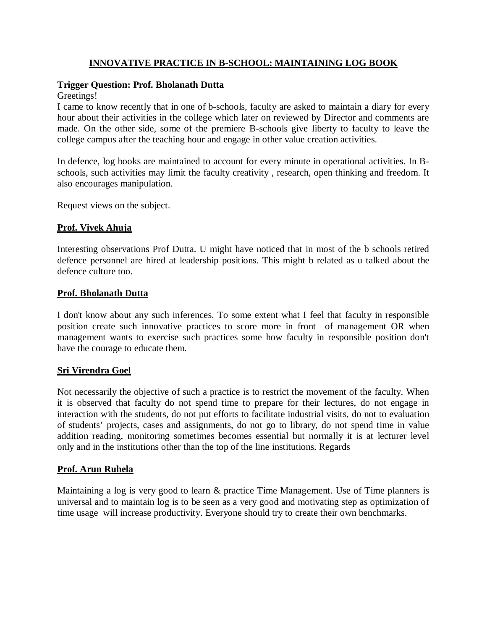### **INNOVATIVE PRACTICE IN B-SCHOOL: MAINTAINING LOG BOOK**

# **Trigger Question: Prof. Bholanath Dutta**

Greetings!

I came to know recently that in one of b-schools, faculty are asked to maintain a diary for every hour about their activities in the college which later on reviewed by Director and comments are made. On the other side, some of the premiere B-schools give liberty to faculty to leave the college campus after the teaching hour and engage in other value creation activities.

In defence, log books are maintained to account for every minute in operational activities. In Bschools, such activities may limit the faculty creativity , research, open thinking and freedom. It also encourages manipulation.

Request views on the subject.

#### **Prof. Vivek Ahuja**

Interesting observations Prof Dutta. U might have noticed that in most of the b schools retired defence personnel are hired at leadership positions. This might b related as u talked about the defence culture too.

#### **Prof. Bholanath Dutta**

I don't know about any such inferences. To some extent what I feel that faculty in responsible position create such innovative practices to score more in front of management OR when management wants to exercise such practices some how faculty in responsible position don't have the courage to educate them.

#### **Sri Virendra Goel**

Not necessarily the objective of such a practice is to restrict the movement of the faculty. When it is observed that faculty do not spend time to prepare for their lectures, do not engage in interaction with the students, do not put efforts to facilitate industrial visits, do not to evaluation of students' projects, cases and assignments, do not go to library, do not spend time in value addition reading, monitoring sometimes becomes essential but normally it is at lecturer level only and in the institutions other than the top of the line institutions. Regards

#### **Prof. Arun Ruhela**

Maintaining a log is very good to learn & practice Time Management. Use of Time planners is universal and to maintain log is to be seen as a very good and motivating step as optimization of time usage will increase productivity. Everyone should try to create their own benchmarks.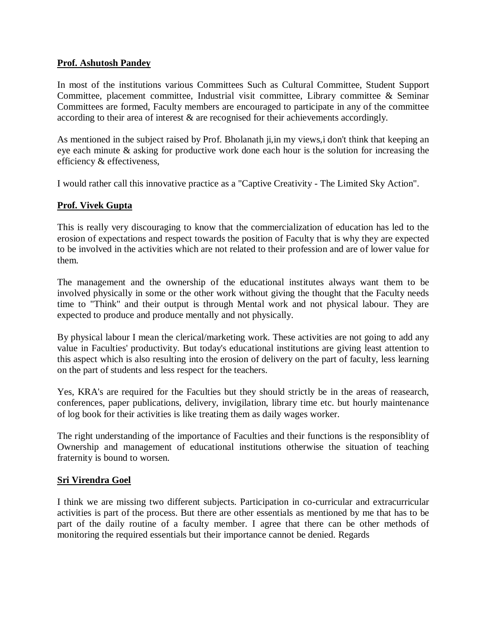#### **Prof. Ashutosh Pandey**

In most of the institutions various Committees Such as Cultural Committee, Student Support Committee, placement committee, Industrial visit committee, Library committee & Seminar Committees are formed, Faculty members are encouraged to participate in any of the committee according to their area of interest & are recognised for their achievements accordingly.

As mentioned in the subject raised by Prof. Bholanath ji,in my views,i don't think that keeping an eye each minute & asking for productive work done each hour is the solution for increasing the efficiency & effectiveness,

I would rather call this innovative practice as a "Captive Creativity - The Limited Sky Action".

# **Prof. Vivek Gupta**

This is really very discouraging to know that the commercialization of education has led to the erosion of expectations and respect towards the position of Faculty that is why they are expected to be involved in the activities which are not related to their profession and are of lower value for them.

The management and the ownership of the educational institutes always want them to be involved physically in some or the other work without giving the thought that the Faculty needs time to "Think" and their output is through Mental work and not physical labour. They are expected to produce and produce mentally and not physically.

By physical labour I mean the clerical/marketing work. These activities are not going to add any value in Faculties' productivity. But today's educational institutions are giving least attention to this aspect which is also resulting into the erosion of delivery on the part of faculty, less learning on the part of students and less respect for the teachers.

Yes, KRA's are required for the Faculties but they should strictly be in the areas of reasearch, conferences, paper publications, delivery, invigilation, library time etc. but hourly maintenance of log book for their activities is like treating them as daily wages worker.

The right understanding of the importance of Faculties and their functions is the responsiblity of Ownership and management of educational institutions otherwise the situation of teaching fraternity is bound to worsen.

# **Sri Virendra Goel**

I think we are missing two different subjects. Participation in co-curricular and extracurricular activities is part of the process. But there are other essentials as mentioned by me that has to be part of the daily routine of a faculty member. I agree that there can be other methods of monitoring the required essentials but their importance cannot be denied. Regards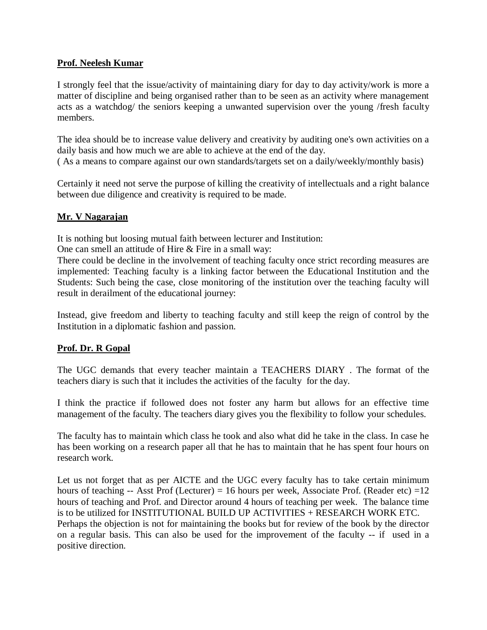### **Prof. Neelesh Kumar**

I strongly feel that the issue/activity of maintaining diary for day to day activity/work is more a matter of discipline and being organised rather than to be seen as an activity where management acts as a watchdog/ the seniors keeping a unwanted supervision over the young /fresh faculty members.

The idea should be to increase value delivery and creativity by auditing one's own activities on a daily basis and how much we are able to achieve at the end of the day. ( As a means to compare against our own standards/targets set on a daily/weekly/monthly basis)

Certainly it need not serve the purpose of killing the creativity of intellectuals and a right balance between due diligence and creativity is required to be made.

# **Mr. V Nagarajan**

It is nothing but loosing mutual faith between lecturer and Institution:

One can smell an attitude of Hire & Fire in a small way:

There could be decline in the involvement of teaching faculty once strict recording measures are implemented: Teaching faculty is a linking factor between the Educational Institution and the Students: Such being the case, close monitoring of the institution over the teaching faculty will result in derailment of the educational journey:

Instead, give freedom and liberty to teaching faculty and still keep the reign of control by the Institution in a diplomatic fashion and passion.

# **Prof. Dr. R Gopal**

The UGC demands that every teacher maintain a TEACHERS DIARY . The format of the teachers diary is such that it includes the activities of the faculty for the day.

I think the practice if followed does not foster any harm but allows for an effective time management of the faculty. The teachers diary gives you the flexibility to follow your schedules.

The faculty has to maintain which class he took and also what did he take in the class. In case he has been working on a research paper all that he has to maintain that he has spent four hours on research work.

Let us not forget that as per AICTE and the UGC every faculty has to take certain minimum hours of teaching -- Asst Prof (Lecturer) = 16 hours per week, Associate Prof. (Reader etc) =  $12$ hours of teaching and Prof. and Director around 4 hours of teaching per week. The balance time is to be utilized for INSTITUTIONAL BUILD UP ACTIVITIES + RESEARCH WORK ETC. Perhaps the objection is not for maintaining the books but for review of the book by the director on a regular basis. This can also be used for the improvement of the faculty -- if used in a positive direction.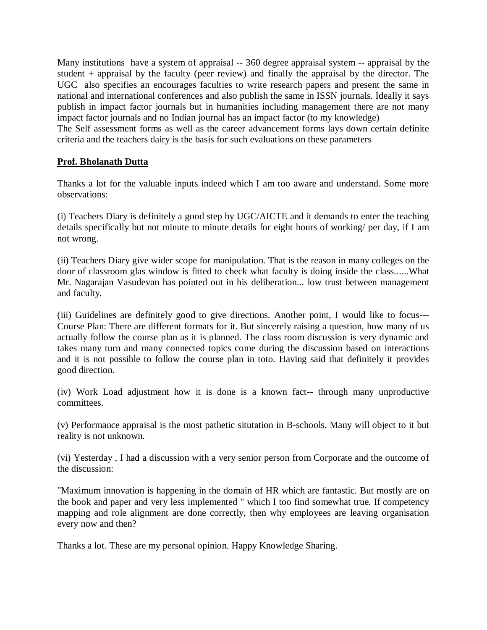Many institutions have a system of appraisal -- 360 degree appraisal system -- appraisal by the student + appraisal by the faculty (peer review) and finally the appraisal by the director. The UGC also specifies an encourages faculties to write research papers and present the same in national and international conferences and also publish the same in ISSN journals. Ideally it says publish in impact factor journals but in humanities including management there are not many impact factor journals and no Indian journal has an impact factor (to my knowledge)

The Self assessment forms as well as the career advancement forms lays down certain definite criteria and the teachers dairy is the basis for such evaluations on these parameters

# **Prof. Bholanath Dutta**

Thanks a lot for the valuable inputs indeed which I am too aware and understand. Some more observations:

(i) Teachers Diary is definitely a good step by UGC/AICTE and it demands to enter the teaching details specifically but not minute to minute details for eight hours of working/ per day, if I am not wrong.

(ii) Teachers Diary give wider scope for manipulation. That is the reason in many colleges on the door of classroom glas window is fitted to check what faculty is doing inside the class......What Mr. Nagarajan Vasudevan has pointed out in his deliberation... low trust between management and faculty.

(iii) Guidelines are definitely good to give directions. Another point, I would like to focus--- Course Plan: There are different formats for it. But sincerely raising a question, how many of us actually follow the course plan as it is planned. The class room discussion is very dynamic and takes many turn and many connected topics come during the discussion based on interactions and it is not possible to follow the course plan in toto. Having said that definitely it provides good direction.

(iv) Work Load adjustment how it is done is a known fact-- through many unproductive committees.

(v) Performance appraisal is the most pathetic situtation in B-schools. Many will object to it but reality is not unknown.

(vi) Yesterday , I had a discussion with a very senior person from Corporate and the outcome of the discussion:

"Maximum innovation is happening in the domain of HR which are fantastic. But mostly are on the book and paper and very less implemented " which I too find somewhat true. If competency mapping and role alignment are done correctly, then why employees are leaving organisation every now and then?

Thanks a lot. These are my personal opinion. Happy Knowledge Sharing.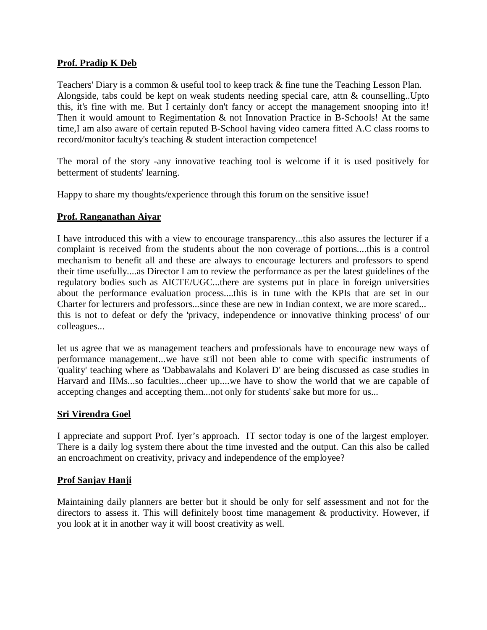### **Prof. Pradip K Deb**

Teachers' Diary is a common & useful tool to keep track & fine tune the Teaching Lesson Plan. Alongside, tabs could be kept on weak students needing special care, attn & counselling..Upto this, it's fine with me. But I certainly don't fancy or accept the management snooping into it! Then it would amount to Regimentation & not Innovation Practice in B-Schools! At the same time,I am also aware of certain reputed B-School having video camera fitted A.C class rooms to record/monitor faculty's teaching & student interaction competence!

The moral of the story -any innovative teaching tool is welcome if it is used positively for betterment of students' learning.

Happy to share my thoughts/experience through this forum on the sensitive issue!

# **Prof. Ranganathan Aiyar**

I have introduced this with a view to encourage transparency...this also assures the lecturer if a complaint is received from the students about the non coverage of portions....this is a control mechanism to benefit all and these are always to encourage lecturers and professors to spend their time usefully....as Director I am to review the performance as per the latest guidelines of the regulatory bodies such as AICTE/UGC...there are systems put in place in foreign universities about the performance evaluation process....this is in tune with the KPIs that are set in our Charter for lecturers and professors...since these are new in Indian context, we are more scared... this is not to defeat or defy the 'privacy, independence or innovative thinking process' of our colleagues...

let us agree that we as management teachers and professionals have to encourage new ways of performance management...we have still not been able to come with specific instruments of 'quality' teaching where as 'Dabbawalahs and Kolaveri D' are being discussed as case studies in Harvard and IIMs...so faculties...cheer up....we have to show the world that we are capable of accepting changes and accepting them...not only for students' sake but more for us...

#### **Sri Virendra Goel**

I appreciate and support Prof. Iyer's approach. IT sector today is one of the largest employer. There is a daily log system there about the time invested and the output. Can this also be called an encroachment on creativity, privacy and independence of the employee?

#### **Prof Sanjay Hanji**

Maintaining daily planners are better but it should be only for self assessment and not for the directors to assess it. This will definitely boost time management  $\&$  productivity. However, if you look at it in another way it will boost creativity as well.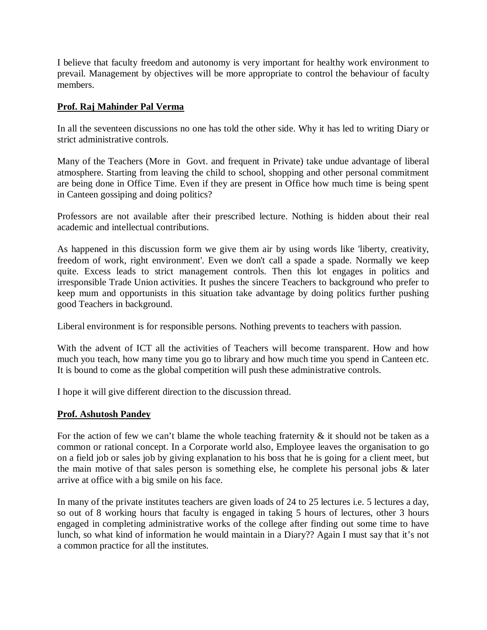I believe that faculty freedom and autonomy is very important for healthy work environment to prevail. Management by objectives will be more appropriate to control the behaviour of faculty members.

### **Prof. Raj Mahinder Pal Verma**

In all the seventeen discussions no one has told the other side. Why it has led to writing Diary or strict administrative controls.

Many of the Teachers (More in Govt. and frequent in Private) take undue advantage of liberal atmosphere. Starting from leaving the child to school, shopping and other personal commitment are being done in Office Time. Even if they are present in Office how much time is being spent in Canteen gossiping and doing politics?

Professors are not available after their prescribed lecture. Nothing is hidden about their real academic and intellectual contributions.

As happened in this discussion form we give them air by using words like 'liberty, creativity, freedom of work, right environment'. Even we don't call a spade a spade. Normally we keep quite. Excess leads to strict management controls. Then this lot engages in politics and irresponsible Trade Union activities. It pushes the sincere Teachers to background who prefer to keep mum and opportunists in this situation take advantage by doing politics further pushing good Teachers in background.

Liberal environment is for responsible persons. Nothing prevents to teachers with passion.

With the advent of ICT all the activities of Teachers will become transparent. How and how much you teach, how many time you go to library and how much time you spend in Canteen etc. It is bound to come as the global competition will push these administrative controls.

I hope it will give different direction to the discussion thread.

#### **Prof. Ashutosh Pandey**

For the action of few we can't blame the whole teaching fraternity  $\&$  it should not be taken as a common or rational concept. In a Corporate world also, Employee leaves the organisation to go on a field job or sales job by giving explanation to his boss that he is going for a client meet, but the main motive of that sales person is something else, he complete his personal jobs & later arrive at office with a big smile on his face.

In many of the private institutes teachers are given loads of 24 to 25 lectures i.e. 5 lectures a day, so out of 8 working hours that faculty is engaged in taking 5 hours of lectures, other 3 hours engaged in completing administrative works of the college after finding out some time to have lunch, so what kind of information he would maintain in a Diary?? Again I must say that it's not a common practice for all the institutes.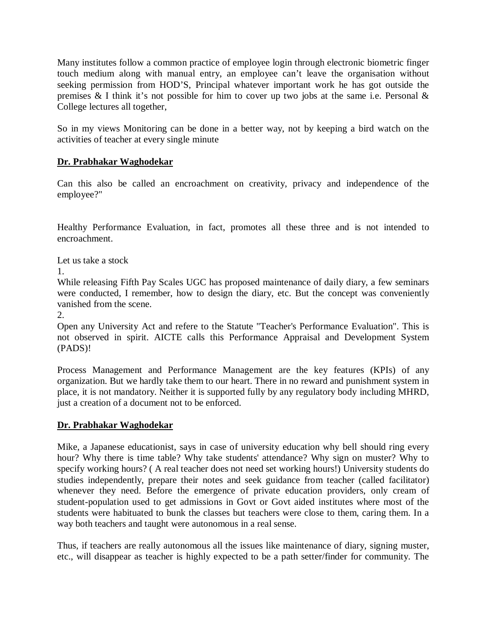Many institutes follow a common practice of employee login through electronic biometric finger touch medium along with manual entry, an employee can't leave the organisation without seeking permission from HOD'S, Principal whatever important work he has got outside the premises & I think it's not possible for him to cover up two jobs at the same i.e. Personal & College lectures all together,

So in my views Monitoring can be done in a better way, not by keeping a bird watch on the activities of teacher at every single minute

# **Dr. Prabhakar Waghodekar**

Can this also be called an encroachment on creativity, privacy and independence of the employee?"

Healthy Performance Evaluation, in fact, promotes all these three and is not intended to encroachment.

Let us take a stock

1.

While releasing Fifth Pay Scales UGC has proposed maintenance of daily diary, a few seminars were conducted, I remember, how to design the diary, etc. But the concept was conveniently vanished from the scene.

2.

Open any University Act and refere to the Statute "Teacher's Performance Evaluation". This is not observed in spirit. AICTE calls this Performance Appraisal and Development System (PADS)!

Process Management and Performance Management are the key features (KPIs) of any organization. But we hardly take them to our heart. There in no reward and punishment system in place, it is not mandatory. Neither it is supported fully by any regulatory body including MHRD, just a creation of a document not to be enforced.

# **Dr. Prabhakar Waghodekar**

Mike, a Japanese educationist, says in case of university education why bell should ring every hour? Why there is time table? Why take students' attendance? Why sign on muster? Why to specify working hours? ( A real teacher does not need set working hours!) University students do studies independently, prepare their notes and seek guidance from teacher (called facilitator) whenever they need. Before the emergence of private education providers, only cream of student-population used to get admissions in Govt or Govt aided institutes where most of the students were habituated to bunk the classes but teachers were close to them, caring them. In a way both teachers and taught were autonomous in a real sense.

Thus, if teachers are really autonomous all the issues like maintenance of diary, signing muster, etc., will disappear as teacher is highly expected to be a path setter/finder for community. The